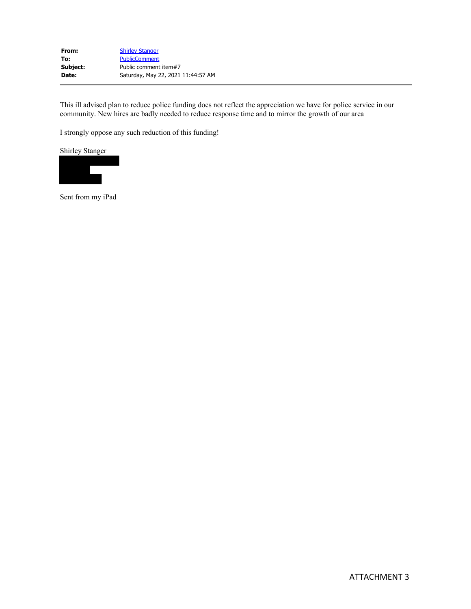| From:    | <b>Shirley Stanger</b>             |
|----------|------------------------------------|
| To:      | <b>PublicComment</b>               |
| Subject: | Public comment item#7              |
| Date:    | Saturday, May 22, 2021 11:44:57 AM |

This ill advised plan to reduce police funding does not reflect the appreciation we have for police service in our community. New hires are badly needed to reduce response time and to mirror the growth of our area

I strongly oppose any such reduction of this funding!



Sent from my iPad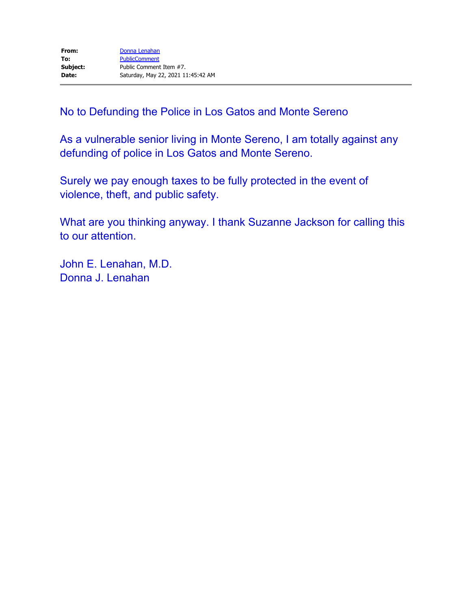No to Defunding the Police in Los Gatos and Monte Sereno

As a vulnerable senior living in Monte Sereno, I am totally against any defunding of police in Los Gatos and Monte Sereno.

Surely we pay enough taxes to be fully protected in the event of violence, theft, and public safety.

What are you thinking anyway. I thank Suzanne Jackson for calling this to our attention.

John E. Lenahan, M.D. Donna J. Lenahan